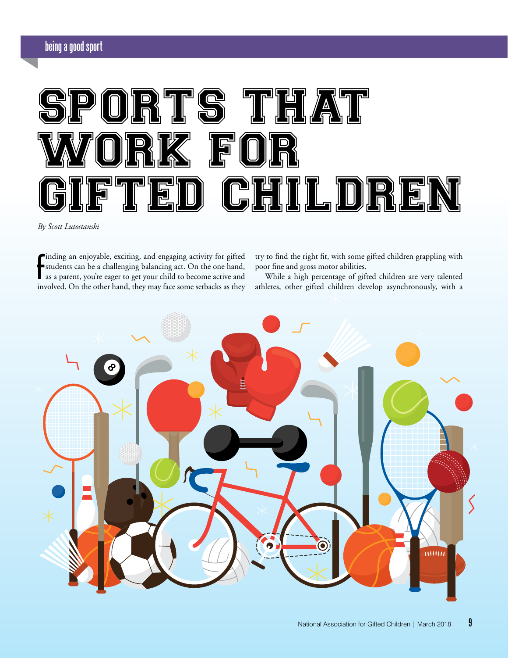

*By Scott Lutostanski*

**F** inding an enjoyable, exciting, and engaging activity for gifted students can be a challenging balancing act. On the one hand, as a parent, you're eager to get your child to become active and involved. On the other hand, they may face some setbacks as they

try to find the right fit, with some gifted children grappling with poor fine and gross motor abilities.

While a high percentage of gifted children are very talented athletes, other gifted children develop asynchronously, with a

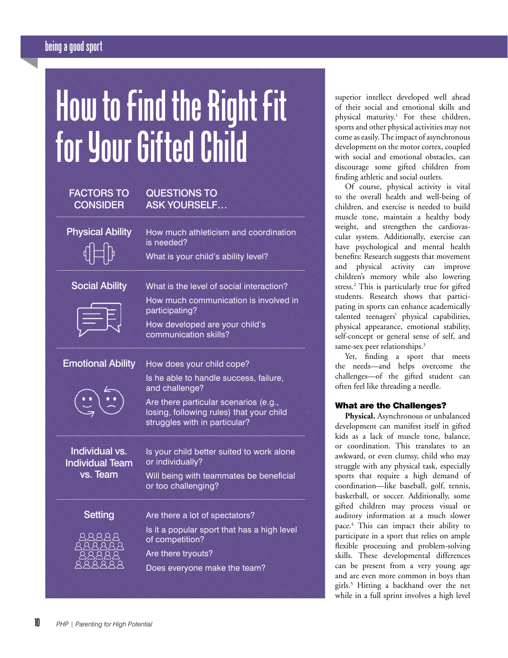# **being a good sport**

# **How to Find the Right Fit for Your Gifted Child**

| <b>FACTORS TO</b><br><b>CONSIDER</b>     | <b>QUESTIONS TO</b><br><b>ASK YOURSELF</b>                                                                         |
|------------------------------------------|--------------------------------------------------------------------------------------------------------------------|
| <b>Physical Ability</b>                  | How much athleticism and coordination<br>is needed?                                                                |
|                                          | What is your child's ability level?                                                                                |
| <b>Social Ability</b>                    | What is the level of social interaction?                                                                           |
|                                          | How much communication is involved in<br>participating?                                                            |
|                                          | How developed are your child's<br>communication skills?                                                            |
| <b>Emotional Ability</b>                 | How does your child cope?                                                                                          |
|                                          | Is he able to handle success, failure,<br>and challenge?                                                           |
|                                          | Are there particular scenarios (e.g.,<br>losing, following rules) that your child<br>struggles with in particular? |
| Individual vs.<br><b>Individual Team</b> | Is your child better suited to work alone<br>or individually?                                                      |
| vs. Team                                 | Will being with teammates be beneficial<br>or too challenging?                                                     |
| <b>Setting</b>                           | Are there a lot of spectators?                                                                                     |
|                                          | Is it a popular sport that has a high level<br>of competition?                                                     |
|                                          | Are there tryouts?                                                                                                 |
|                                          | Does everyone make the team?                                                                                       |

superior intellect developed well ahead of their social and emotional skills and physical maturity.1 For these children, sports and other physical activities may not come as easily. The impact of asynchronous development on the motor cortex, coupled with social and emotional obstacles, can discourage some gifted children from finding athletic and social outlets.

Of course, physical activity is vital to the overall health and well-being of children, and exercise is needed to build muscle tone, maintain a healthy body weight, and strengthen the cardiovascular system. Additionally, exercise can have psychological and mental health benefits: Research suggests that movement and physical activity can improve children's memory while also lowering stress.2 This is particularly true for gifted students. Research shows that participating in sports can enhance academically talented teenagers' physical capabilities, physical appearance, emotional stability, self-concept or general sense of self, and same-sex peer relationships.<sup>3</sup>

Yet, finding a sport that meets the needs—and helps overcome the challenges—of the gifted student can often feel like threading a needle.

# What are the Challenges?

**Physical.** Asynchronous or unbalanced development can manifest itself in gifted kids as a lack of muscle tone, balance, or coordination. This translates to an awkward, or even clumsy, child who may struggle with any physical task, especially sports that require a high demand of coordination—like baseball, golf, tennis, basketball, or soccer. Additionally, some gifted children may process visual or auditory information at a much slower pace.4 This can impact their ability to participate in a sport that relies on ample flexible processing and problem-solving skills. These developmental differences can be present from a very young age and are even more common in boys than girls.5 Hitting a backhand over the net while in a full sprint involves a high level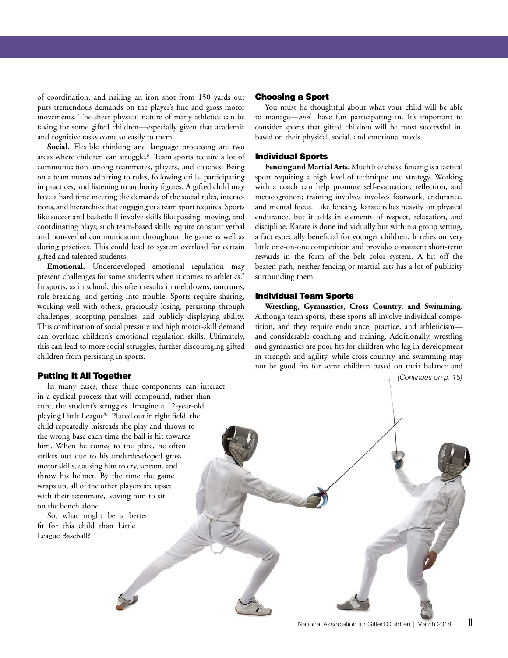of coordination, and nailing an iron shot from 150 yards out puts tremendous demands on the player's fine and gross motor movements. The sheer physical nature of many athletics can be taxing for some gifted children—especially given that academic and cognitive tasks come so easily to them.

**Social.** Flexible thinking and language processing are two areas where children can struggle.6 Team sports require a lot of communication among teammates, players, and coaches. Being on a team means adhering to rules, following drills, participating in practices, and listening to authority figures. A gifted child may have a hard time meeting the demands of the social rules, interactions, and hierarchies that engaging in a team sport requires. Sports like soccer and basketball involve skills like passing, moving, and coordinating plays; such team-based skills require constant verbal and non-verbal communication throughout the game as well as during practices. This could lead to system overload for certain gifted and talented students.

**Emotional.** Underdeveloped emotional regulation may present challenges for some students when it comes to athletics.<sup>7</sup> In sports, as in school, this often results in meltdowns, tantrums, rule-breaking, and getting into trouble. Sports require sharing, working well with others, graciously losing, persisting through challenges, accepting penalties, and publicly displaying ability. This combination of social pressure and high motor-skill demand can overload children's emotional regulation skills. Ultimately, this can lead to more social struggles, further discouraging gifted children from persisting in sports.

#### Putting It All Together

In many cases, these three components can interact in a cyclical process that will compound, rather than cure, the student's struggles. Imagine a 12-year-old playing Little League®. Placed out in right field, the child repeatedly misreads the play and throws to the wrong base each time the ball is hit towards him. When he comes to the plate, he often strikes out due to his underdeveloped gross motor skills, causing him to cry, scream, and throw his helmet. By the time the game wraps up, all of the other players are upset with their teammate, leaving him to sit on the bench alone.

So, what might be a better fit for this child than Little League Baseball?

## Choosing a Sport

You must be thoughtful about what your child will be able to manage—*and* have fun participating in. It's important to consider sports that gifted children will be most successful in, based on their physical, social, and emotional needs.

#### Individual Sports

**Fencing and Martial Arts.** Much like chess, fencing is a tactical sport requiring a high level of technique and strategy. Working with a coach can help promote self-evaluation, reflection, and metacognition; training involves involves footwork, endurance, and mental focus. Like fencing, karate relies heavily on physical endurance, but it adds in elements of respect, relaxation, and discipline. Karate is done individually but within a group setting, a fact especially beneficial for younger children. It relies on very little one-on-one competition and provides consistent short-term rewards in the form of the belt color system. A bit off the beaten path, neither fencing or martial arts has a lot of publicity surrounding them.

### Individual Team Sports

**Wrestling, Gymnastics, Cross Country, and Swimming.** Although team sports, these sports all involve individual competition, and they require endurance, practice, and athleticism and considerable coaching and training. Additionally, wrestling and gymnastics are poor fits for children who lag in development in strength and agility, while cross country and swimming may not be good fits for some children based on their balance and